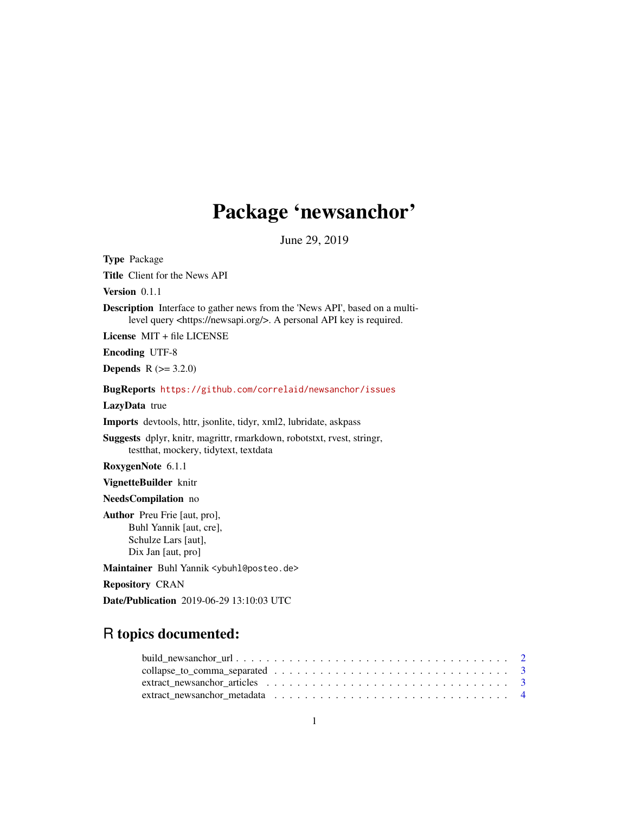## Package 'newsanchor'

June 29, 2019

Type Package Title Client for the News API Version 0.1.1 Description Interface to gather news from the 'News API', based on a multilevel query <https://newsapi.org/>. A personal API key is required. License MIT + file LICENSE Encoding UTF-8 **Depends** R  $(>= 3.2.0)$ BugReports <https://github.com/correlaid/newsanchor/issues> LazyData true Imports devtools, httr, jsonlite, tidyr, xml2, lubridate, askpass Suggests dplyr, knitr, magrittr, rmarkdown, robotstxt, rvest, stringr, testthat, mockery, tidytext, textdata RoxygenNote 6.1.1 VignetteBuilder knitr NeedsCompilation no Author Preu Frie [aut, pro], Buhl Yannik [aut, cre], Schulze Lars [aut], Dix Jan [aut, pro] Maintainer Buhl Yannik <ybuhl@posteo.de> Repository CRAN

Date/Publication 2019-06-29 13:10:03 UTC

## R topics documented:

| extract newsanchor metadata $\ldots \ldots \ldots \ldots \ldots \ldots \ldots \ldots \ldots \ldots$ |  |  |  |  |  |  |  |  |  |  |  |  |  |  |  |
|-----------------------------------------------------------------------------------------------------|--|--|--|--|--|--|--|--|--|--|--|--|--|--|--|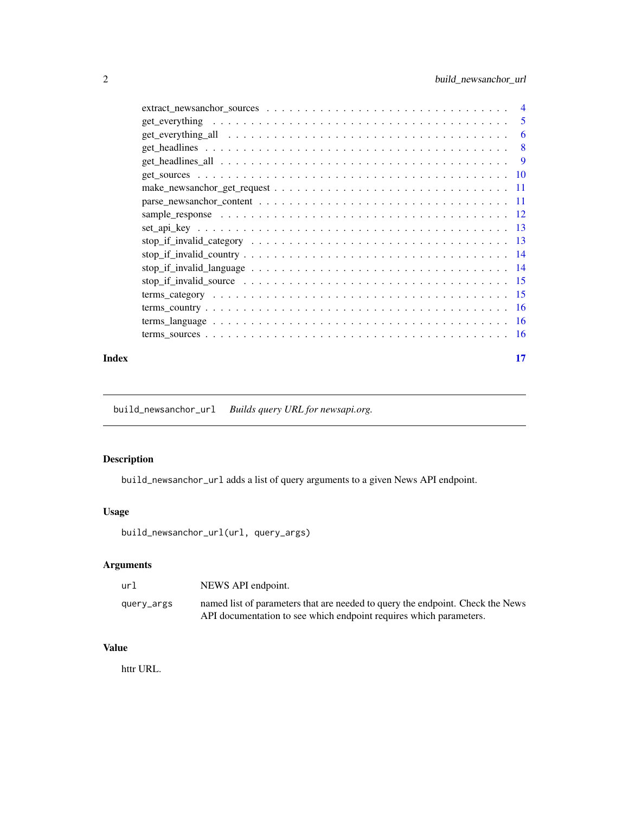<span id="page-1-0"></span>

| $\overline{4}$                                                                                                   |
|------------------------------------------------------------------------------------------------------------------|
| 5<br>$get\_everything \dots \dots \dots \dots \dots \dots \dots \dots \dots \dots \dots \dots \dots \dots \dots$ |
| 6                                                                                                                |
| 8                                                                                                                |
| 9                                                                                                                |
|                                                                                                                  |
| $-11$                                                                                                            |
|                                                                                                                  |
|                                                                                                                  |
|                                                                                                                  |
|                                                                                                                  |
|                                                                                                                  |
|                                                                                                                  |
|                                                                                                                  |
|                                                                                                                  |
|                                                                                                                  |
|                                                                                                                  |
|                                                                                                                  |
|                                                                                                                  |

#### **Index** [17](#page-16-0)

build\_newsanchor\_url *Builds query URL for newsapi.org.*

## Description

build\_newsanchor\_url adds a list of query arguments to a given News API endpoint.

## Usage

build\_newsanchor\_url(url, query\_args)

## Arguments

| url        | NEWS API endpoint.                                                             |
|------------|--------------------------------------------------------------------------------|
| query_args | named list of parameters that are needed to query the endpoint. Check the News |
|            | API documentation to see which endpoint requires which parameters.             |

## Value

httr URL.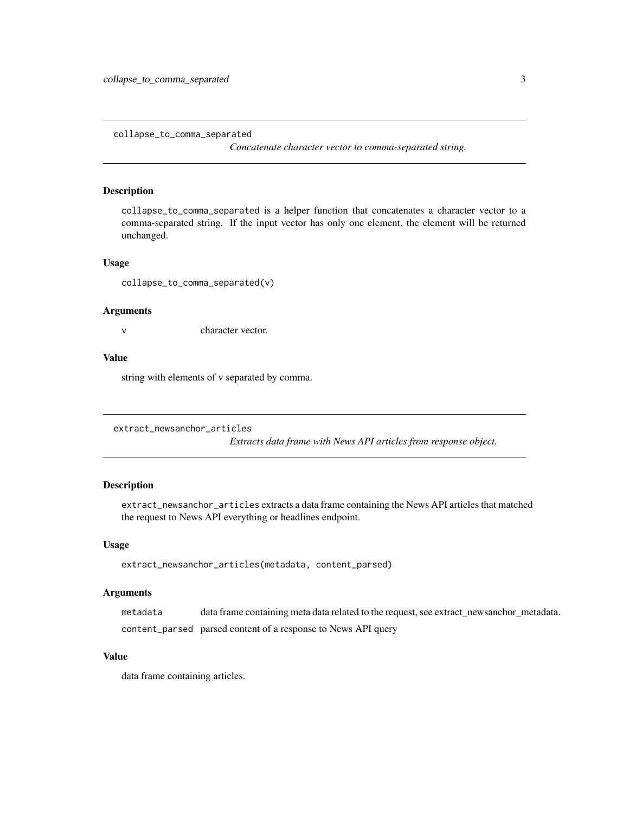<span id="page-2-0"></span>collapse\_to\_comma\_separated

*Concatenate character vector to comma-separated string.*

## Description

collapse\_to\_comma\_separated is a helper function that concatenates a character vector to a comma-separated string. If the input vector has only one element, the element will be returned unchanged.

#### Usage

collapse\_to\_comma\_separated(v)

#### Arguments

v character vector.

#### Value

string with elements of v separated by comma.

```
extract_newsanchor_articles
```
*Extracts data frame with News API articles from response object.*

## Description

extract\_newsanchor\_articles extracts a data frame containing the News API articles that matched the request to News API everything or headlines endpoint.

#### Usage

```
extract_newsanchor_articles(metadata, content_parsed)
```
## Arguments

metadata data frame containing meta data related to the request, see extract\_newsanchor\_metadata. content\_parsed parsed content of a response to News API query

## Value

data frame containing articles.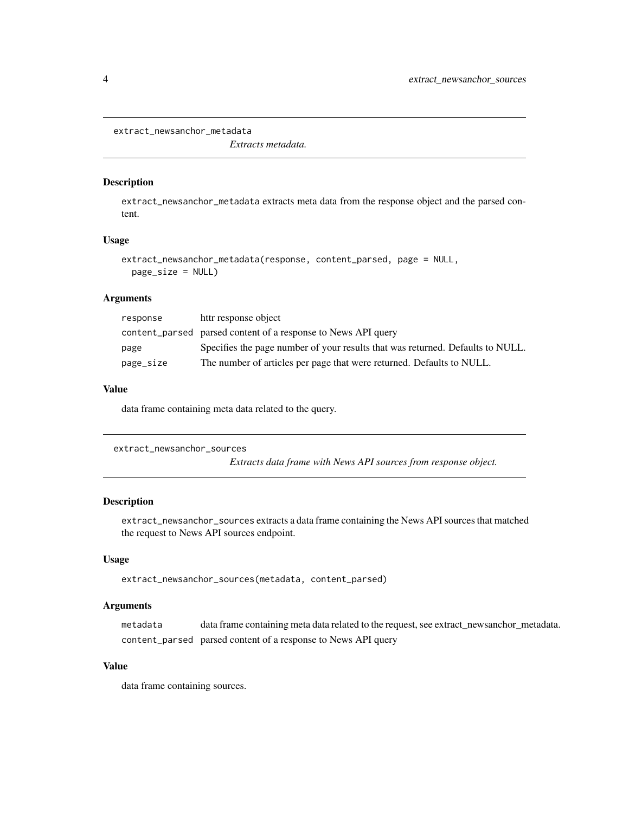```
extract_newsanchor_metadata
```
*Extracts metadata.*

#### Description

extract\_newsanchor\_metadata extracts meta data from the response object and the parsed content.

#### Usage

```
extract_newsanchor_metadata(response, content_parsed, page = NULL,
 page_size = NULL)
```
## Arguments

| response  | httr response object                                                           |
|-----------|--------------------------------------------------------------------------------|
|           | content_parsed parsed content of a response to News API query                  |
| page      | Specifies the page number of your results that was returned. Defaults to NULL. |
| page_size | The number of articles per page that were returned. Defaults to NULL.          |

## Value

data frame containing meta data related to the query.

```
extract_newsanchor_sources
```
*Extracts data frame with News API sources from response object.*

## Description

extract\_newsanchor\_sources extracts a data frame containing the News API sources that matched the request to News API sources endpoint.

#### Usage

```
extract_newsanchor_sources(metadata, content_parsed)
```
## Arguments

metadata data frame containing meta data related to the request, see extract\_newsanchor\_metadata. content\_parsed parsed content of a response to News API query

#### Value

data frame containing sources.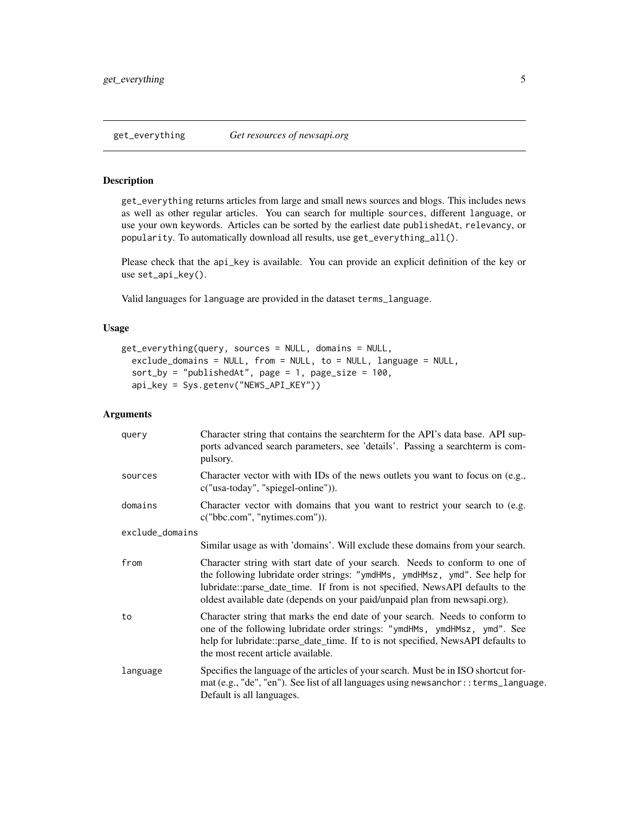## <span id="page-4-0"></span>Description

get\_everything returns articles from large and small news sources and blogs. This includes news as well as other regular articles. You can search for multiple sources, different language, or use your own keywords. Articles can be sorted by the earliest date publishedAt, relevancy, or popularity. To automatically download all results, use get\_everything\_all().

Please check that the api\_key is available. You can provide an explicit definition of the key or use set\_api\_key().

Valid languages for language are provided in the dataset terms\_language.

## Usage

```
get_everything(query, sources = NULL, domains = NULL,
  exclude_domains = NULL, from = NULL, to = NULL, language = NULL,
  sort_by = "publishedAt", page = 1, page_size = 100,
  api_key = Sys.getenv("NEWS_API_KEY"))
```
#### Arguments

| query           | Character string that contains the searchterm for the API's data base. API sup-<br>ports advanced search parameters, see 'details'. Passing a searchterm is com-<br>pulsory.                                                                                                                                              |
|-----------------|---------------------------------------------------------------------------------------------------------------------------------------------------------------------------------------------------------------------------------------------------------------------------------------------------------------------------|
| sources         | Character vector with with IDs of the news outlets you want to focus on (e.g.,<br>c("usa-today", "spiegel-online")).                                                                                                                                                                                                      |
| domains         | Character vector with domains that you want to restrict your search to (e.g.<br>c("bbc.com", "nytimes.com").                                                                                                                                                                                                              |
| exclude_domains |                                                                                                                                                                                                                                                                                                                           |
|                 | Similar usage as with 'domains'. Will exclude these domains from your search.                                                                                                                                                                                                                                             |
| from            | Character string with start date of your search. Needs to conform to one of<br>the following lubridate order strings: "ymdHMs, ymdHMsz, ymd". See help for<br>lubridate::parse_date_time. If from is not specified, NewsAPI defaults to the<br>oldest available date (depends on your paid/unpaid plan from newsapi.org). |
| to              | Character string that marks the end date of your search. Needs to conform to<br>one of the following lubridate order strings: "ymdHMs, ymdHMsz, ymd". See<br>help for lubridate::parse_date_time. If to is not specified, NewsAPI defaults to<br>the most recent article available.                                       |
| language        | Specifies the language of the articles of your search. Must be in ISO shortcut for-<br>mat (e.g., "de", "en"). See list of all languages using newsanchor: : terms_language.<br>Default is all languages.                                                                                                                 |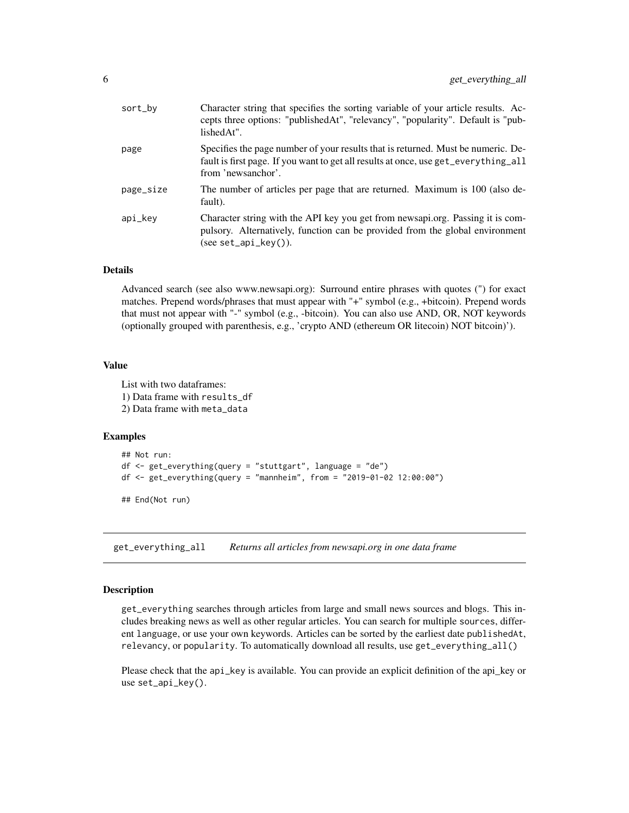<span id="page-5-0"></span>

| sort_by   | Character string that specifies the sorting variable of your article results. Ac-<br>cepts three options: "publishedAt", "relevancy", "popularity". Default is "pub-<br>lishedAt".            |
|-----------|-----------------------------------------------------------------------------------------------------------------------------------------------------------------------------------------------|
| page      | Specifies the page number of your results that is returned. Must be numeric. De-<br>fault is first page. If you want to get all results at once, use get_everything_all<br>from 'newsanchor'. |
| page_size | The number of articles per page that are returned. Maximum is 100 (also de-<br>fault).                                                                                                        |
| api_key   | Character string with the API key you get from newsapi.org. Passing it is com-<br>pulsory. Alternatively, function can be provided from the global environment<br>$(see set_api_key)).$       |
|           |                                                                                                                                                                                               |

#### Details

Advanced search (see also www.newsapi.org): Surround entire phrases with quotes (") for exact matches. Prepend words/phrases that must appear with "+" symbol (e.g., +bitcoin). Prepend words that must not appear with "-" symbol (e.g., -bitcoin). You can also use AND, OR, NOT keywords (optionally grouped with parenthesis, e.g., 'crypto AND (ethereum OR litecoin) NOT bitcoin)').

#### Value

List with two dataframes: 1) Data frame with results\_df 2) Data frame with meta\_data

#### Examples

```
## Not run:
df \leq get_everything(query = "stuttgart", language = "de")
df <- get_everything(query = "mannheim", from = "2019-01-02 12:00:00")
## End(Not run)
```
get\_everything\_all *Returns all articles from newsapi.org in one data frame*

#### Description

get\_everything searches through articles from large and small news sources and blogs. This includes breaking news as well as other regular articles. You can search for multiple sources, different language, or use your own keywords. Articles can be sorted by the earliest date publishedAt, relevancy, or popularity. To automatically download all results, use get\_everything\_all()

Please check that the api\_key is available. You can provide an explicit definition of the api\_key or use set\_api\_key().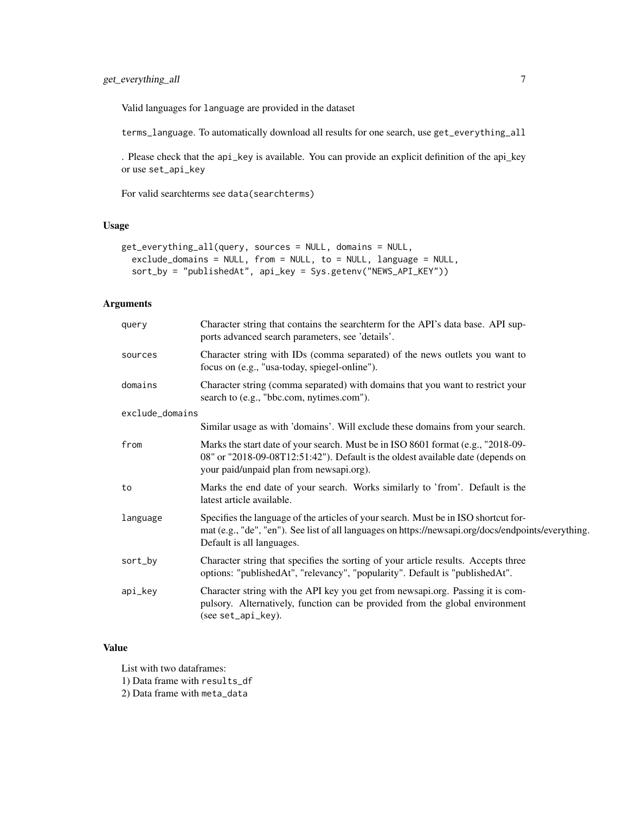Valid languages for language are provided in the dataset

terms\_language. To automatically download all results for one search, use get\_everything\_all

. Please check that the api\_key is available. You can provide an explicit definition of the api\_key or use set\_api\_key

For valid searchterms see data(searchterms)

## Usage

```
get_everything_all(query, sources = NULL, domains = NULL,
  exclude_domains = NULL, from = NULL, to = NULL, language = NULL,
  sort_by = "publishedAt", api_key = Sys.getenv("NEWS_API_KEY"))
```
## Arguments

| query           | Character string that contains the searchterm for the API's data base. API sup-<br>ports advanced search parameters, see 'details'.                                                                                     |
|-----------------|-------------------------------------------------------------------------------------------------------------------------------------------------------------------------------------------------------------------------|
| sources         | Character string with IDs (comma separated) of the news outlets you want to<br>focus on (e.g., "usa-today, spiegel-online").                                                                                            |
| domains         | Character string (comma separated) with domains that you want to restrict your<br>search to (e.g., "bbc.com, nytimes.com").                                                                                             |
| exclude_domains |                                                                                                                                                                                                                         |
|                 | Similar usage as with 'domains'. Will exclude these domains from your search.                                                                                                                                           |
| from            | Marks the start date of your search. Must be in ISO 8601 format (e.g., "2018-09-<br>08" or "2018-09-08T12:51:42"). Default is the oldest available date (depends on<br>your paid/unpaid plan from newsapi.org).         |
| to              | Marks the end date of your search. Works similarly to 'from'. Default is the<br>latest article available.                                                                                                               |
| language        | Specifies the language of the articles of your search. Must be in ISO shortcut for-<br>mat (e.g., "de", "en"). See list of all languages on https://newsapi.org/docs/endpoints/everything.<br>Default is all languages. |
| sort_by         | Character string that specifies the sorting of your article results. Accepts three<br>options: "publishedAt", "relevancy", "popularity". Default is "publishedAt".                                                      |
| api_key         | Character string with the API key you get from newsapi.org. Passing it is com-<br>pulsory. Alternatively, function can be provided from the global environment<br>(see set_api_key).                                    |

## Value

List with two dataframes:

1) Data frame with results\_df

2) Data frame with meta\_data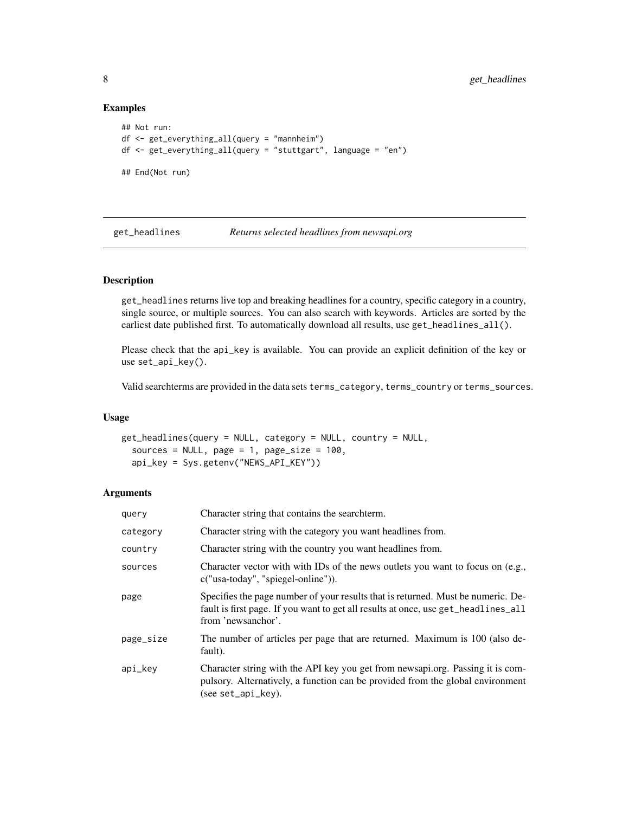## Examples

```
## Not run:
df <- get_everything_all(query = "mannheim")
df <- get_everything_all(query = "stuttgart", language = "en")
## End(Not run)
```
get\_headlines *Returns selected headlines from newsapi.org*

#### Description

get\_headlines returns live top and breaking headlines for a country, specific category in a country, single source, or multiple sources. You can also search with keywords. Articles are sorted by the earliest date published first. To automatically download all results, use get\_headlines\_all().

Please check that the api\_key is available. You can provide an explicit definition of the key or use set\_api\_key().

Valid searchterms are provided in the data sets terms\_category, terms\_country or terms\_sources.

#### Usage

```
get_headlines(query = NULL, category = NULL, country = NULL,
  sources = NULL, page = 1, page_size = 100,
  api_key = Sys.getenv("NEWS_API_KEY"))
```
#### Arguments

| query     | Character string that contains the searchterm.                                                                                                                                               |
|-----------|----------------------------------------------------------------------------------------------------------------------------------------------------------------------------------------------|
| category  | Character string with the category you want headlines from.                                                                                                                                  |
| country   | Character string with the country you want headlines from.                                                                                                                                   |
| sources   | Character vector with with IDs of the news outlets you want to focus on (e.g.,<br>c("usa-today", "spiegel-online")).                                                                         |
| page      | Specifies the page number of your results that is returned. Must be numeric. De-<br>fault is first page. If you want to get all results at once, use get_headlines_all<br>from 'newsanchor'. |
| page_size | The number of articles per page that are returned. Maximum is 100 (also de-<br>fault).                                                                                                       |
| api_key   | Character string with the API key you get from newsapi.org. Passing it is com-<br>pulsory. Alternatively, a function can be provided from the global environment<br>$(see set_api_kev).$     |

<span id="page-7-0"></span>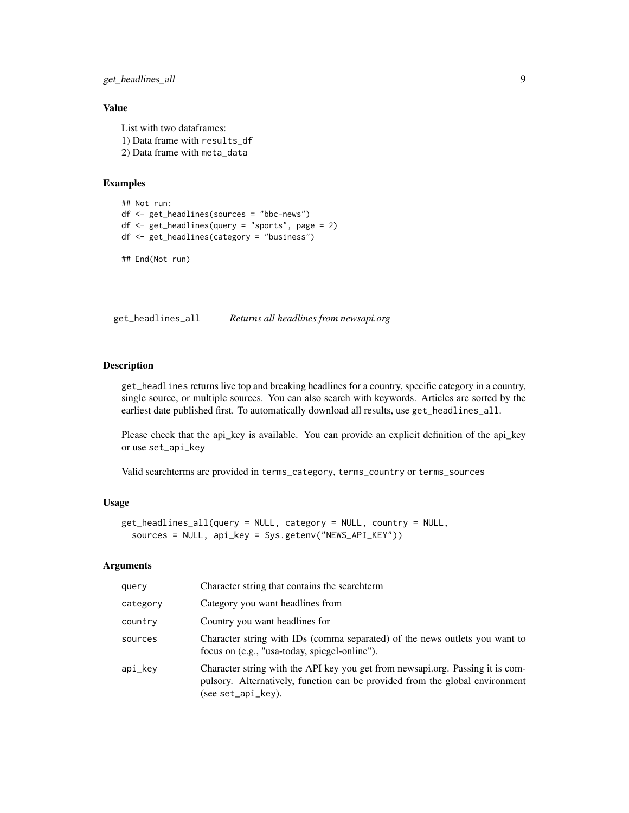## <span id="page-8-0"></span>get\_headlines\_all 9

## Value

List with two dataframes: 1) Data frame with results\_df 2) Data frame with meta\_data

## Examples

```
## Not run:
df <- get_headlines(sources = "bbc-news")
df <- get_headlines(query = "sports", page = 2)
df <- get_headlines(category = "business")
```
## End(Not run)

get\_headlines\_all *Returns all headlines from newsapi.org*

#### Description

get\_headlines returns live top and breaking headlines for a country, specific category in a country, single source, or multiple sources. You can also search with keywords. Articles are sorted by the earliest date published first. To automatically download all results, use get\_headlines\_all.

Please check that the api\_key is available. You can provide an explicit definition of the api\_key or use set\_api\_key

Valid searchterms are provided in terms\_category, terms\_country or terms\_sources

### Usage

```
get_headlines_all(query = NULL, category = NULL, country = NULL,
  sources = NULL, api_key = Sys.getenv("NEWS_API_KEY"))
```
#### Arguments

| query    | Character string that contains the searchterm                                                                                                                                        |
|----------|--------------------------------------------------------------------------------------------------------------------------------------------------------------------------------------|
| category | Category you want headlines from                                                                                                                                                     |
| country  | Country you want headlines for                                                                                                                                                       |
| sources  | Character string with IDs (comma separated) of the news outlets you want to<br>focus on (e.g., "usa-today, spiegel-online").                                                         |
| api_kev  | Character string with the API key you get from newsapi.org. Passing it is com-<br>pulsory. Alternatively, function can be provided from the global environment<br>(see set_api_key). |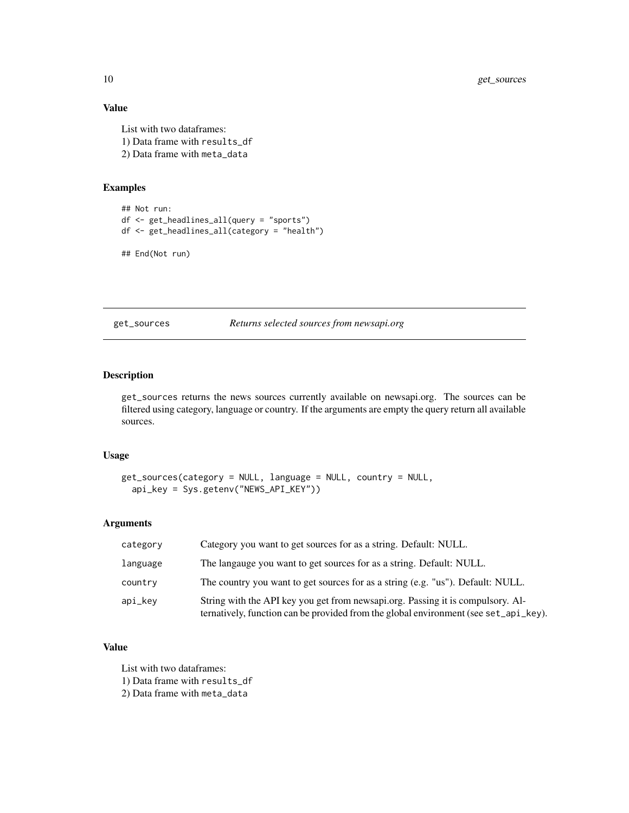## Value

List with two dataframes: 1) Data frame with results\_df 2) Data frame with meta\_data

#### Examples

```
## Not run:
df <- get_headlines_all(query = "sports")
df <- get_headlines_all(category = "health")
```

```
## End(Not run)
```
get\_sources *Returns selected sources from newsapi.org*

### Description

get\_sources returns the news sources currently available on newsapi.org. The sources can be filtered using category, language or country. If the arguments are empty the query return all available sources.

#### Usage

```
get_sources(category = NULL, language = NULL, country = NULL,
  api_key = Sys.getenv("NEWS_API_KEY"))
```
#### Arguments

| category | Category you want to get sources for as a string. Default: NULL.                                                                                                        |
|----------|-------------------------------------------------------------------------------------------------------------------------------------------------------------------------|
| language | The language you want to get sources for as a string. Default: NULL.                                                                                                    |
| country  | The country you want to get sources for as a string (e.g. "us"). Default: NULL.                                                                                         |
| api_key  | String with the API key you get from newsapi.org. Passing it is compulsory. Al-<br>ternatively, function can be provided from the global environment (see set_api_key). |

## Value

List with two dataframes:

1) Data frame with results\_df

2) Data frame with meta\_data

<span id="page-9-0"></span>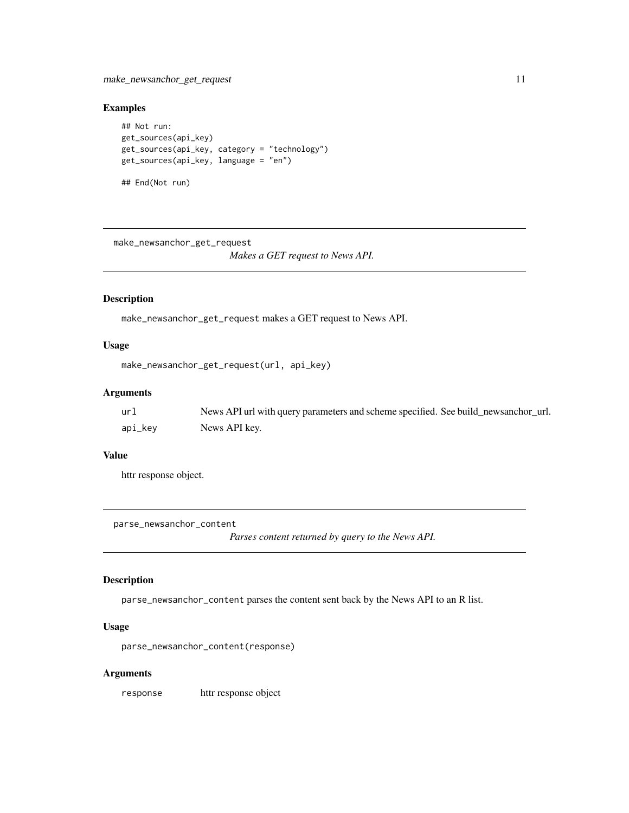## <span id="page-10-0"></span>Examples

```
## Not run:
get_sources(api_key)
get_sources(api_key, category = "technology")
get_sources(api_key, language = "en")
## End(Not run)
```

```
make_newsanchor_get_request
                        Makes a GET request to News API.
```
## Description

make\_newsanchor\_get\_request makes a GET request to News API.

## Usage

```
make_newsanchor_get_request(url, api_key)
```
#### Arguments

| url     | News API url with query parameters and scheme specified. See build_newsanchor_url. |
|---------|------------------------------------------------------------------------------------|
| api_key | News API kev.                                                                      |

#### Value

httr response object.

parse\_newsanchor\_content

*Parses content returned by query to the News API.*

#### Description

parse\_newsanchor\_content parses the content sent back by the News API to an R list.

## Usage

parse\_newsanchor\_content(response)

#### Arguments

response httr response object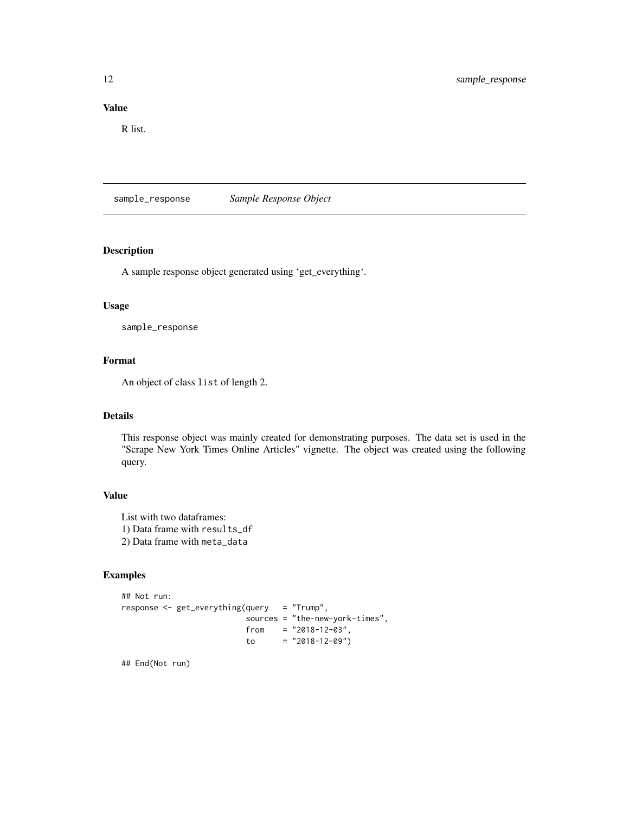## <span id="page-11-0"></span>Value

R list.

sample\_response *Sample Response Object*

#### Description

A sample response object generated using 'get\_everything'.

#### Usage

sample\_response

## Format

An object of class list of length 2.

## Details

This response object was mainly created for demonstrating purposes. The data set is used in the "Scrape New York Times Online Articles" vignette. The object was created using the following query.

## Value

List with two dataframes: 1) Data frame with results\_df 2) Data frame with meta\_data

## Examples

```
## Not run:
response <- get_everything(query = "Trump",
                         sources = "the-new-york-times",
                         from = "2018-12-03",
                         to = "2018-12-09")
```
## End(Not run)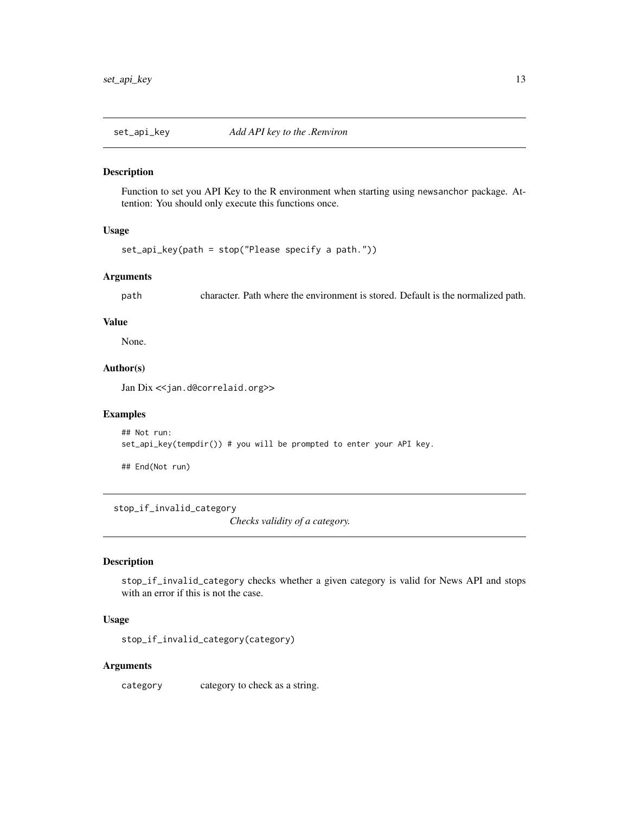<span id="page-12-0"></span>

#### Description

Function to set you API Key to the R environment when starting using newsanchor package. Attention: You should only execute this functions once.

## Usage

```
set_api_key(path = stop("Please specify a path."))
```
## Arguments

path character. Path where the environment is stored. Default is the normalized path.

#### Value

None.

#### Author(s)

Jan Dix << jan.d@correlaid.org>>

#### Examples

```
## Not run:
set_api_key(tempdir()) # you will be prompted to enter your API key.
```
## End(Not run)

stop\_if\_invalid\_category

*Checks validity of a category.*

#### Description

stop\_if\_invalid\_category checks whether a given category is valid for News API and stops with an error if this is not the case.

#### Usage

```
stop_if_invalid_category(category)
```
#### Arguments

category category to check as a string.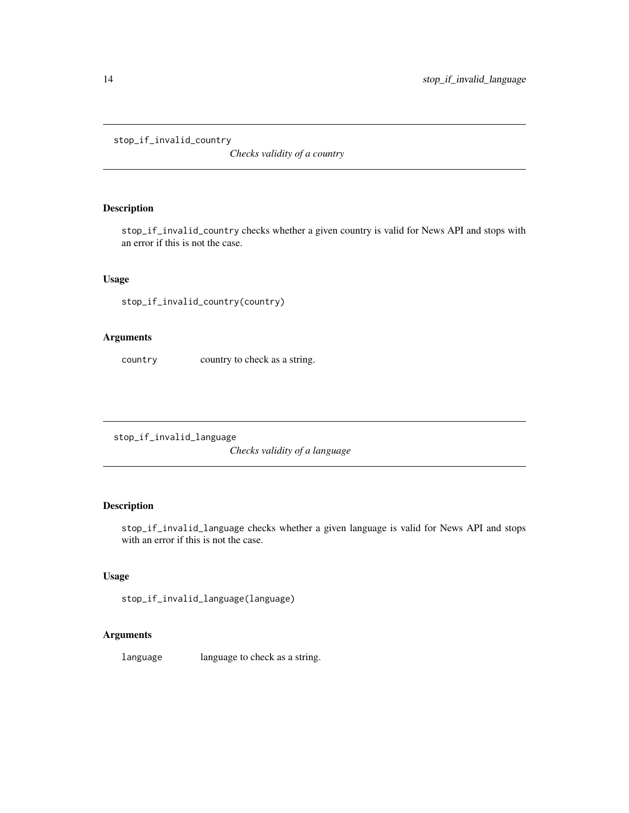<span id="page-13-0"></span>stop\_if\_invalid\_country

*Checks validity of a country*

## Description

stop\_if\_invalid\_country checks whether a given country is valid for News API and stops with an error if this is not the case.

## Usage

stop\_if\_invalid\_country(country)

### Arguments

country country to check as a string.

stop\_if\_invalid\_language

*Checks validity of a language*

## Description

stop\_if\_invalid\_language checks whether a given language is valid for News API and stops with an error if this is not the case.

## Usage

```
stop_if_invalid_language(language)
```
## Arguments

language language to check as a string.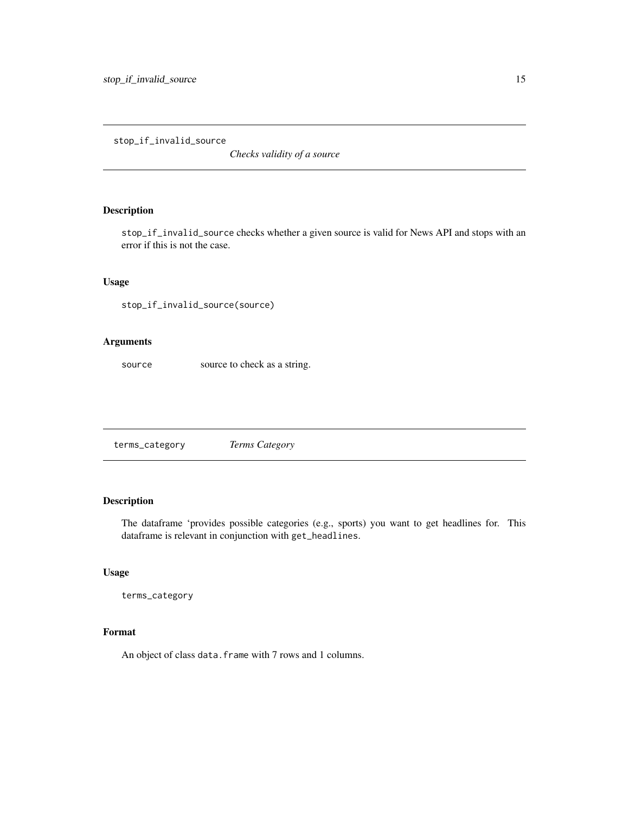<span id="page-14-0"></span>stop\_if\_invalid\_source

*Checks validity of a source*

## Description

stop\_if\_invalid\_source checks whether a given source is valid for News API and stops with an error if this is not the case.

## Usage

stop\_if\_invalid\_source(source)

#### Arguments

source source to check as a string.

terms\_category *Terms Category*

#### Description

The dataframe 'provides possible categories (e.g., sports) you want to get headlines for. This dataframe is relevant in conjunction with get\_headlines.

## Usage

terms\_category

## Format

An object of class data. frame with 7 rows and 1 columns.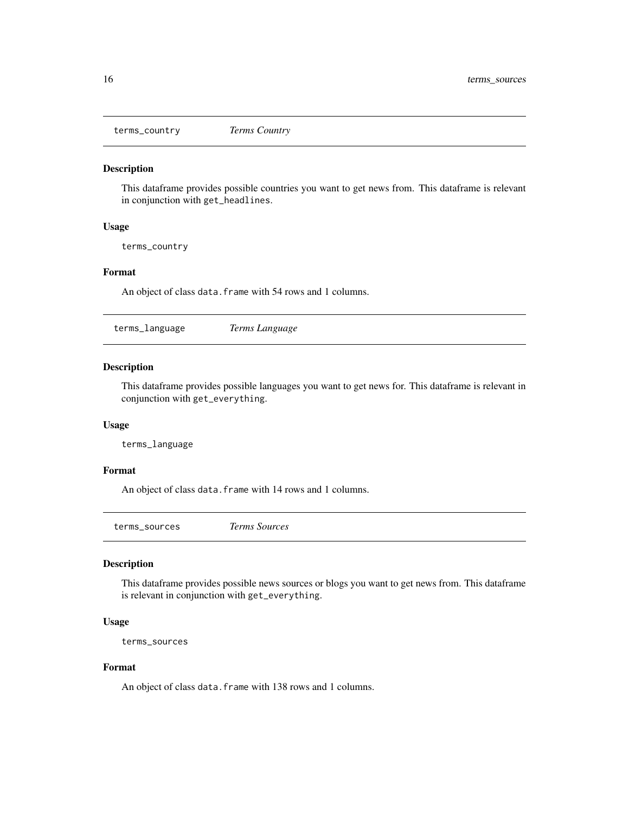<span id="page-15-0"></span>terms\_country *Terms Country*

#### Description

This dataframe provides possible countries you want to get news from. This dataframe is relevant in conjunction with get\_headlines.

#### Usage

terms\_country

#### Format

An object of class data. frame with 54 rows and 1 columns.

terms\_language *Terms Language*

## Description

This dataframe provides possible languages you want to get news for. This dataframe is relevant in conjunction with get\_everything.

#### Usage

terms\_language

#### Format

An object of class data.frame with 14 rows and 1 columns.

terms\_sources *Terms Sources*

## Description

This dataframe provides possible news sources or blogs you want to get news from. This dataframe is relevant in conjunction with get\_everything.

## Usage

```
terms_sources
```
### Format

An object of class data.frame with 138 rows and 1 columns.